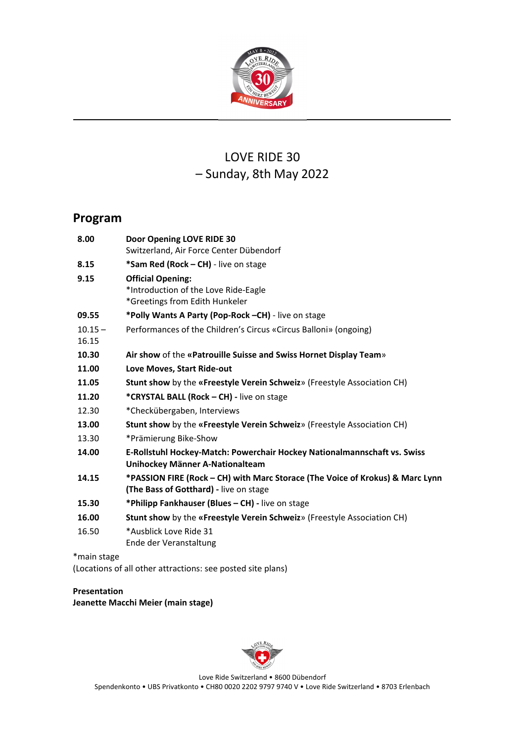

# LOVE RIDE 30 – Sunday, 8th May 2022

# **Program**

| 8.00        | Door Opening LOVE RIDE 30                                                     |
|-------------|-------------------------------------------------------------------------------|
|             | Switzerland, Air Force Center Dübendorf                                       |
| 8.15        | *Sam Red (Rock - CH) - live on stage                                          |
| 9.15        | <b>Official Opening:</b>                                                      |
|             | *Introduction of the Love Ride-Eagle                                          |
|             | *Greetings from Edith Hunkeler                                                |
| 09.55       | *Polly Wants A Party (Pop-Rock -CH) - live on stage                           |
| $10.15 -$   | Performances of the Children's Circus «Circus Balloni» (ongoing)              |
| 16.15       |                                                                               |
| 10.30       | Air show of the «Patrouille Suisse and Swiss Hornet Display Team»             |
| 11.00       | Love Moves, Start Ride-out                                                    |
| 11.05       | Stunt show by the «Freestyle Verein Schweiz» (Freestyle Association CH)       |
| 11.20       | *CRYSTAL BALL (Rock - CH) - live on stage                                     |
| 12.30       | *Checkübergaben, Interviews                                                   |
| 13.00       | Stunt show by the «Freestyle Verein Schweiz» (Freestyle Association CH)       |
| 13.30       | *Prämierung Bike-Show                                                         |
| 14.00       | E-Rollstuhl Hockey-Match: Powerchair Hockey Nationalmannschaft vs. Swiss      |
|             | Unihockey Männer A-Nationalteam                                               |
| 14.15       | *PASSION FIRE (Rock - CH) with Marc Storace (The Voice of Krokus) & Marc Lynn |
|             | (The Bass of Gotthard) - live on stage                                        |
| 15.30       | *Philipp Fankhauser (Blues - CH) - live on stage                              |
| 16.00       | Stunt show by the «Freestyle Verein Schweiz» (Freestyle Association CH)       |
| 16.50       | *Ausblick Love Ride 31                                                        |
|             | Ende der Veranstaltung                                                        |
| *main stage |                                                                               |
|             |                                                                               |

(Locations of all other attractions: see posted site plans)

**Presentation Jeanette Macchi Meier (main stage)**